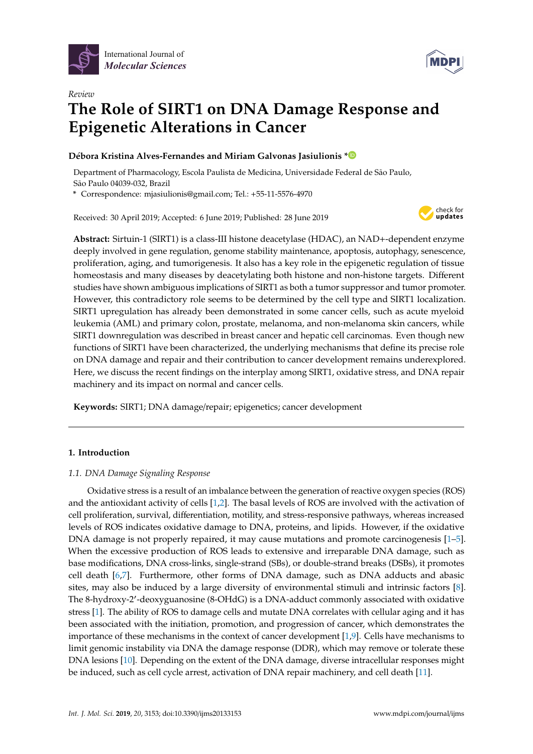

*Review*



# **The Role of SIRT1 on DNA Damage Response and Epigenetic Alterations in Cancer**

## **Débora Kristina Alves-Fernandes and Miriam Galvonas Jasiulionis [\\*](https://orcid.org/0000-0002-4135-0440)**

Department of Pharmacology, Escola Paulista de Medicina, Universidade Federal de São Paulo, São Paulo 04039-032, Brazil

**\*** Correspondence: mjasiulionis@gmail.com; Tel.: +55-11-5576-4970

Received: 30 April 2019; Accepted: 6 June 2019; Published: 28 June 2019



**Abstract:** Sirtuin-1 (SIRT1) is a class-III histone deacetylase (HDAC), an NAD+-dependent enzyme deeply involved in gene regulation, genome stability maintenance, apoptosis, autophagy, senescence, proliferation, aging, and tumorigenesis. It also has a key role in the epigenetic regulation of tissue homeostasis and many diseases by deacetylating both histone and non-histone targets. Different studies have shown ambiguous implications of SIRT1 as both a tumor suppressor and tumor promoter. However, this contradictory role seems to be determined by the cell type and SIRT1 localization. SIRT1 upregulation has already been demonstrated in some cancer cells, such as acute myeloid leukemia (AML) and primary colon, prostate, melanoma, and non-melanoma skin cancers, while SIRT1 downregulation was described in breast cancer and hepatic cell carcinomas. Even though new functions of SIRT1 have been characterized, the underlying mechanisms that define its precise role on DNA damage and repair and their contribution to cancer development remains underexplored. Here, we discuss the recent findings on the interplay among SIRT1, oxidative stress, and DNA repair machinery and its impact on normal and cancer cells.

**Keywords:** SIRT1; DNA damage/repair; epigenetics; cancer development

## **1. Introduction**

## *1.1. DNA Damage Signaling Response*

Oxidative stress is a result of an imbalance between the generation of reactive oxygen species (ROS) and the antioxidant activity of cells [\[1,](#page-7-0)[2\]](#page-7-1). The basal levels of ROS are involved with the activation of cell proliferation, survival, differentiation, motility, and stress-responsive pathways, whereas increased levels of ROS indicates oxidative damage to DNA, proteins, and lipids. However, if the oxidative DNA damage is not properly repaired, it may cause mutations and promote carcinogenesis [\[1](#page-7-0)[–5\]](#page-7-2). When the excessive production of ROS leads to extensive and irreparable DNA damage, such as base modifications, DNA cross-links, single-strand (SBs), or double-strand breaks (DSBs), it promotes cell death [\[6](#page-7-3)[,7\]](#page-7-4). Furthermore, other forms of DNA damage, such as DNA adducts and abasic sites, may also be induced by a large diversity of environmental stimuli and intrinsic factors [\[8\]](#page-7-5). The 8-hydroxy-2'-deoxyguanosine (8-OHdG) is a DNA-adduct commonly associated with oxidative stress [\[1\]](#page-7-0). The ability of ROS to damage cells and mutate DNA correlates with cellular aging and it has been associated with the initiation, promotion, and progression of cancer, which demonstrates the importance of these mechanisms in the context of cancer development [\[1](#page-7-0)[,9\]](#page-7-6). Cells have mechanisms to limit genomic instability via DNA the damage response (DDR), which may remove or tolerate these DNA lesions [\[10\]](#page-7-7). Depending on the extent of the DNA damage, diverse intracellular responses might be induced, such as cell cycle arrest, activation of DNA repair machinery, and cell death [\[11\]](#page-8-0).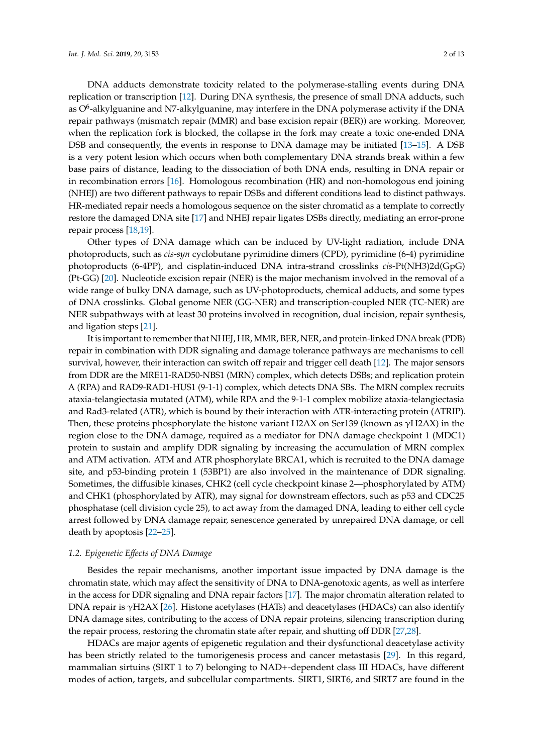DNA adducts demonstrate toxicity related to the polymerase-stalling events during DNA replication or transcription [\[12\]](#page-8-1). During DNA synthesis, the presence of small DNA adducts, such as O<sup>6</sup>-alkylguanine and N7-alkylguanine, may interfere in the DNA polymerase activity if the DNA repair pathways (mismatch repair (MMR) and base excision repair (BER)) are working. Moreover, when the replication fork is blocked, the collapse in the fork may create a toxic one-ended DNA DSB and consequently, the events in response to DNA damage may be initiated [\[13–](#page-8-2)[15\]](#page-8-3). A DSB is a very potent lesion which occurs when both complementary DNA strands break within a few base pairs of distance, leading to the dissociation of both DNA ends, resulting in DNA repair or in recombination errors [\[16\]](#page-8-4). Homologous recombination (HR) and non-homologous end joining (NHEJ) are two different pathways to repair DSBs and different conditions lead to distinct pathways. HR-mediated repair needs a homologous sequence on the sister chromatid as a template to correctly restore the damaged DNA site [\[17\]](#page-8-5) and NHEJ repair ligates DSBs directly, mediating an error-prone repair process [\[18](#page-8-6)[,19\]](#page-8-7).

Other types of DNA damage which can be induced by UV-light radiation, include DNA photoproducts, such as *cis-syn* cyclobutane pyrimidine dimers (CPD), pyrimidine (6-4) pyrimidine photoproducts (6-4PP), and cisplatin-induced DNA intra-strand crosslinks *cis*-Pt(NH3)2d(GpG) (Pt-GG) [\[20\]](#page-8-8). Nucleotide excision repair (NER) is the major mechanism involved in the removal of a wide range of bulky DNA damage, such as UV-photoproducts, chemical adducts, and some types of DNA crosslinks. Global genome NER (GG-NER) and transcription-coupled NER (TC-NER) are NER subpathways with at least 30 proteins involved in recognition, dual incision, repair synthesis, and ligation steps [\[21\]](#page-8-9).

It is important to remember that NHEJ, HR, MMR, BER, NER, and protein-linked DNA break (PDB) repair in combination with DDR signaling and damage tolerance pathways are mechanisms to cell survival, however, their interaction can switch off repair and trigger cell death [\[12\]](#page-8-1). The major sensors from DDR are the MRE11-RAD50-NBS1 (MRN) complex, which detects DSBs; and replication protein A (RPA) and RAD9-RAD1-HUS1 (9-1-1) complex, which detects DNA SBs. The MRN complex recruits ataxia-telangiectasia mutated (ATM), while RPA and the 9-1-1 complex mobilize ataxia-telangiectasia and Rad3-related (ATR), which is bound by their interaction with ATR-interacting protein (ATRIP). Then, these proteins phosphorylate the histone variant H2AX on Ser139 (known as  $\gamma$ H2AX) in the region close to the DNA damage, required as a mediator for DNA damage checkpoint 1 (MDC1) protein to sustain and amplify DDR signaling by increasing the accumulation of MRN complex and ATM activation. ATM and ATR phosphorylate BRCA1, which is recruited to the DNA damage site, and p53-binding protein 1 (53BP1) are also involved in the maintenance of DDR signaling. Sometimes, the diffusible kinases, CHK2 (cell cycle checkpoint kinase 2—phosphorylated by ATM) and CHK1 (phosphorylated by ATR), may signal for downstream effectors, such as p53 and CDC25 phosphatase (cell division cycle 25), to act away from the damaged DNA, leading to either cell cycle arrest followed by DNA damage repair, senescence generated by unrepaired DNA damage, or cell death by apoptosis [\[22–](#page-8-10)[25\]](#page-8-11).

### *1.2. Epigenetic E*ff*ects of DNA Damage*

Besides the repair mechanisms, another important issue impacted by DNA damage is the chromatin state, which may affect the sensitivity of DNA to DNA-genotoxic agents, as well as interfere in the access for DDR signaling and DNA repair factors [\[17\]](#page-8-5). The major chromatin alteration related to DNA repair is γH2AX [\[26\]](#page-8-12). Histone acetylases (HATs) and deacetylases (HDACs) can also identify DNA damage sites, contributing to the access of DNA repair proteins, silencing transcription during the repair process, restoring the chromatin state after repair, and shutting off DDR [\[27,](#page-8-13)[28\]](#page-8-14).

HDACs are major agents of epigenetic regulation and their dysfunctional deacetylase activity has been strictly related to the tumorigenesis process and cancer metastasis [\[29\]](#page-8-15). In this regard, mammalian sirtuins (SIRT 1 to 7) belonging to NAD+-dependent class III HDACs, have different modes of action, targets, and subcellular compartments. SIRT1, SIRT6, and SIRT7 are found in the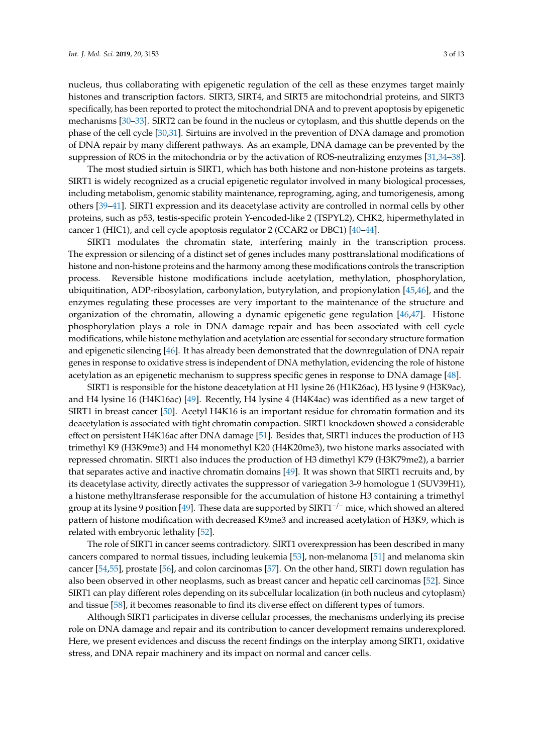nucleus, thus collaborating with epigenetic regulation of the cell as these enzymes target mainly histones and transcription factors. SIRT3, SIRT4, and SIRT5 are mitochondrial proteins, and SIRT3 specifically, has been reported to protect the mitochondrial DNA and to prevent apoptosis by epigenetic mechanisms [\[30](#page-8-16)[–33\]](#page-8-17). SIRT2 can be found in the nucleus or cytoplasm, and this shuttle depends on the phase of the cell cycle [\[30](#page-8-16)[,31\]](#page-8-18). Sirtuins are involved in the prevention of DNA damage and promotion of DNA repair by many different pathways. As an example, DNA damage can be prevented by the suppression of ROS in the mitochondria or by the activation of ROS-neutralizing enzymes [\[31](#page-8-18)[,34–](#page-8-19)[38\]](#page-9-0).

The most studied sirtuin is SIRT1, which has both histone and non-histone proteins as targets. SIRT1 is widely recognized as a crucial epigenetic regulator involved in many biological processes, including metabolism, genomic stability maintenance, reprograming, aging, and tumorigenesis, among others [\[39–](#page-9-1)[41\]](#page-9-2). SIRT1 expression and its deacetylase activity are controlled in normal cells by other proteins, such as p53, testis-specific protein Y-encoded-like 2 (TSPYL2), CHK2, hipermethylated in cancer 1 (HIC1), and cell cycle apoptosis regulator 2 (CCAR2 or DBC1) [\[40](#page-9-3)[–44\]](#page-9-4).

SIRT1 modulates the chromatin state, interfering mainly in the transcription process. The expression or silencing of a distinct set of genes includes many posttranslational modifications of histone and non-histone proteins and the harmony among these modifications controls the transcription process. Reversible histone modifications include acetylation, methylation, phosphorylation, ubiquitination, ADP-ribosylation, carbonylation, butyrylation, and propionylation [\[45](#page-9-5)[,46\]](#page-9-6), and the enzymes regulating these processes are very important to the maintenance of the structure and organization of the chromatin, allowing a dynamic epigenetic gene regulation [\[46](#page-9-6)[,47\]](#page-9-7). Histone phosphorylation plays a role in DNA damage repair and has been associated with cell cycle modifications, while histone methylation and acetylation are essential for secondary structure formation and epigenetic silencing [\[46\]](#page-9-6). It has already been demonstrated that the downregulation of DNA repair genes in response to oxidative stress is independent of DNA methylation, evidencing the role of histone acetylation as an epigenetic mechanism to suppress specific genes in response to DNA damage [\[48\]](#page-9-8).

SIRT1 is responsible for the histone deacetylation at H1 lysine 26 (H1K26ac), H3 lysine 9 (H3K9ac), and H4 lysine 16 (H4K16ac) [\[49\]](#page-9-9). Recently, H4 lysine 4 (H4K4ac) was identified as a new target of SIRT1 in breast cancer [\[50\]](#page-9-10). Acetyl H4K16 is an important residue for chromatin formation and its deacetylation is associated with tight chromatin compaction. SIRT1 knockdown showed a considerable effect on persistent H4K16ac after DNA damage [\[51\]](#page-9-11). Besides that, SIRT1 induces the production of H3 trimethyl K9 (H3K9me3) and H4 monomethyl K20 (H4K20me3), two histone marks associated with repressed chromatin. SIRT1 also induces the production of H3 dimethyl K79 (H3K79me2), a barrier that separates active and inactive chromatin domains [\[49\]](#page-9-9). It was shown that SIRT1 recruits and, by its deacetylase activity, directly activates the suppressor of variegation 3-9 homologue 1 (SUV39H1), a histone methyltransferase responsible for the accumulation of histone H3 containing a trimethyl group at its lysine 9 position [\[49\]](#page-9-9). These data are supported by SIRT1<sup>-/-</sup> mice, which showed an altered pattern of histone modification with decreased K9me3 and increased acetylation of H3K9, which is related with embryonic lethality [\[52\]](#page-9-12).

The role of SIRT1 in cancer seems contradictory. SIRT1 overexpression has been described in many cancers compared to normal tissues, including leukemia [\[53\]](#page-9-13), non-melanoma [\[51\]](#page-9-11) and melanoma skin cancer [\[54](#page-9-14)[,55\]](#page-10-0), prostate [\[56\]](#page-10-1), and colon carcinomas [\[57\]](#page-10-2). On the other hand, SIRT1 down regulation has also been observed in other neoplasms, such as breast cancer and hepatic cell carcinomas [\[52\]](#page-9-12). Since SIRT1 can play different roles depending on its subcellular localization (in both nucleus and cytoplasm) and tissue [\[58\]](#page-10-3), it becomes reasonable to find its diverse effect on different types of tumors.

Although SIRT1 participates in diverse cellular processes, the mechanisms underlying its precise role on DNA damage and repair and its contribution to cancer development remains underexplored. Here, we present evidences and discuss the recent findings on the interplay among SIRT1, oxidative stress, and DNA repair machinery and its impact on normal and cancer cells.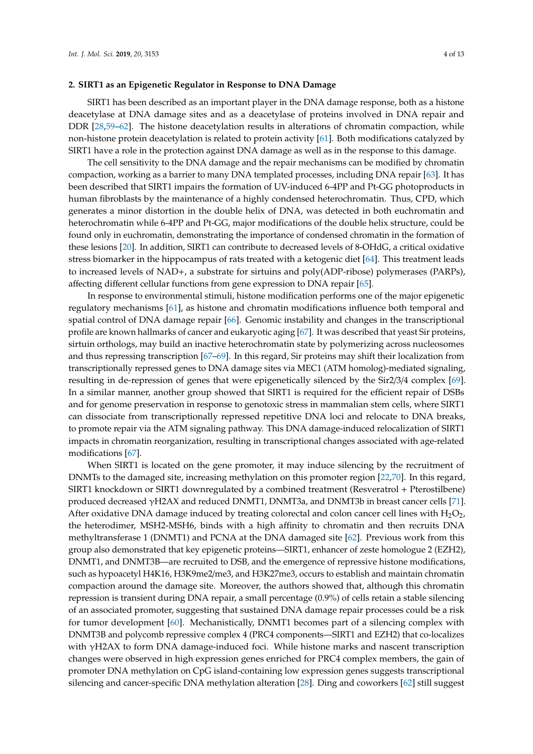#### **2. SIRT1 as an Epigenetic Regulator in Response to DNA Damage**

SIRT1 has been described as an important player in the DNA damage response, both as a histone deacetylase at DNA damage sites and as a deacetylase of proteins involved in DNA repair and DDR [\[28](#page-8-14)[,59](#page-10-4)[–62\]](#page-10-5). The histone deacetylation results in alterations of chromatin compaction, while non-histone protein deacetylation is related to protein activity [\[61\]](#page-10-6). Both modifications catalyzed by SIRT1 have a role in the protection against DNA damage as well as in the response to this damage.

The cell sensitivity to the DNA damage and the repair mechanisms can be modified by chromatin compaction, working as a barrier to many DNA templated processes, including DNA repair [\[63\]](#page-10-7). It has been described that SIRT1 impairs the formation of UV-induced 6-4PP and Pt-GG photoproducts in human fibroblasts by the maintenance of a highly condensed heterochromatin. Thus, CPD, which generates a minor distortion in the double helix of DNA, was detected in both euchromatin and heterochromatin while 6-4PP and Pt-GG, major modifications of the double helix structure, could be found only in euchromatin, demonstrating the importance of condensed chromatin in the formation of these lesions [\[20\]](#page-8-8). In addition, SIRT1 can contribute to decreased levels of 8-OHdG, a critical oxidative stress biomarker in the hippocampus of rats treated with a ketogenic diet [\[64\]](#page-10-8). This treatment leads to increased levels of NAD+, a substrate for sirtuins and poly(ADP-ribose) polymerases (PARPs), affecting different cellular functions from gene expression to DNA repair [\[65\]](#page-10-9).

In response to environmental stimuli, histone modification performs one of the major epigenetic regulatory mechanisms [\[61\]](#page-10-6), as histone and chromatin modifications influence both temporal and spatial control of DNA damage repair [\[66\]](#page-10-10). Genomic instability and changes in the transcriptional profile are known hallmarks of cancer and eukaryotic aging [\[67\]](#page-10-11). It was described that yeast Sir proteins, sirtuin orthologs, may build an inactive heterochromatin state by polymerizing across nucleosomes and thus repressing transcription [\[67](#page-10-11)[–69\]](#page-10-12). In this regard, Sir proteins may shift their localization from transcriptionally repressed genes to DNA damage sites via MEC1 (ATM homolog)-mediated signaling, resulting in de-repression of genes that were epigenetically silenced by the Sir2/3/4 complex [\[69\]](#page-10-12). In a similar manner, another group showed that SIRT1 is required for the efficient repair of DSBs and for genome preservation in response to genotoxic stress in mammalian stem cells, where SIRT1 can dissociate from transcriptionally repressed repetitive DNA loci and relocate to DNA breaks, to promote repair via the ATM signaling pathway. This DNA damage-induced relocalization of SIRT1 impacts in chromatin reorganization, resulting in transcriptional changes associated with age-related modifications [\[67\]](#page-10-11).

When SIRT1 is located on the gene promoter, it may induce silencing by the recruitment of DNMTs to the damaged site, increasing methylation on this promoter region [\[22](#page-8-10)[,70\]](#page-10-13). In this regard, SIRT1 knockdown or SIRT1 downregulated by a combined treatment (Resveratrol + Pterostilbene) produced decreased γH2AX and reduced DNMT1, DNMT3a, and DNMT3b in breast cancer cells [\[71\]](#page-10-14). After oxidative DNA damage induced by treating colorectal and colon cancer cell lines with  $H_2O_2$ , the heterodimer, MSH2-MSH6, binds with a high affinity to chromatin and then recruits DNA methyltransferase 1 (DNMT1) and PCNA at the DNA damaged site [\[62\]](#page-10-5). Previous work from this group also demonstrated that key epigenetic proteins—SIRT1, enhancer of zeste homologue 2 (EZH2), DNMT1, and DNMT3B—are recruited to DSB, and the emergence of repressive histone modifications, such as hypoacetyl H4K16, H3K9me2/me3, and H3K27me3, occurs to establish and maintain chromatin compaction around the damage site. Moreover, the authors showed that, although this chromatin repression is transient during DNA repair, a small percentage (0.9%) of cells retain a stable silencing of an associated promoter, suggesting that sustained DNA damage repair processes could be a risk for tumor development [\[60\]](#page-10-15). Mechanistically, DNMT1 becomes part of a silencing complex with DNMT3B and polycomb repressive complex 4 (PRC4 components—SIRT1 and EZH2) that co-localizes with γH2AX to form DNA damage-induced foci. While histone marks and nascent transcription changes were observed in high expression genes enriched for PRC4 complex members, the gain of promoter DNA methylation on CpG island-containing low expression genes suggests transcriptional silencing and cancer-specific DNA methylation alteration [\[28\]](#page-8-14). Ding and coworkers [\[62\]](#page-10-5) still suggest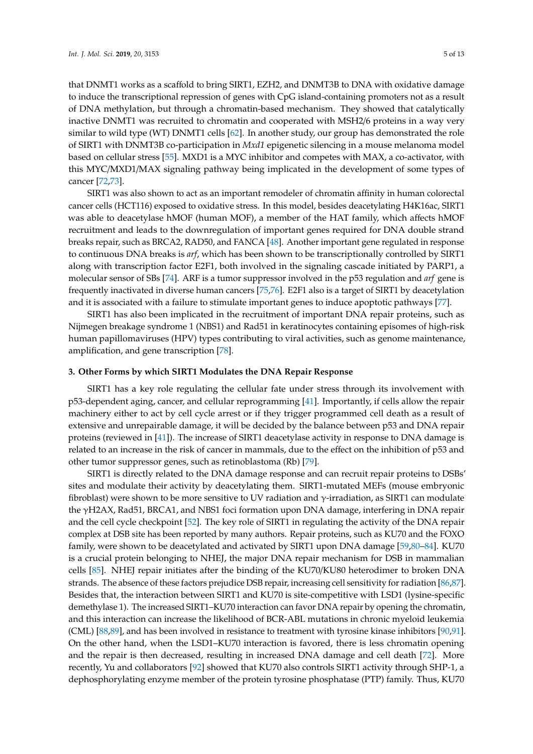that DNMT1 works as a scaffold to bring SIRT1, EZH2, and DNMT3B to DNA with oxidative damage to induce the transcriptional repression of genes with CpG island-containing promoters not as a result of DNA methylation, but through a chromatin-based mechanism. They showed that catalytically inactive DNMT1 was recruited to chromatin and cooperated with MSH2/6 proteins in a way very similar to wild type (WT) DNMT1 cells [\[62\]](#page-10-5). In another study, our group has demonstrated the role of SIRT1 with DNMT3B co-participation in *Mxd1* epigenetic silencing in a mouse melanoma model based on cellular stress [\[55\]](#page-10-0). MXD1 is a MYC inhibitor and competes with MAX, a co-activator, with this MYC/MXD1/MAX signaling pathway being implicated in the development of some types of cancer [\[72,](#page-10-16)[73\]](#page-10-17).

SIRT1 was also shown to act as an important remodeler of chromatin affinity in human colorectal cancer cells (HCT116) exposed to oxidative stress. In this model, besides deacetylating H4K16ac, SIRT1 was able to deacetylase hMOF (human MOF), a member of the HAT family, which affects hMOF recruitment and leads to the downregulation of important genes required for DNA double strand breaks repair, such as BRCA2, RAD50, and FANCA [\[48\]](#page-9-8). Another important gene regulated in response to continuous DNA breaks is *arf*, which has been shown to be transcriptionally controlled by SIRT1 along with transcription factor E2F1, both involved in the signaling cascade initiated by PARP1, a molecular sensor of SBs [\[74\]](#page-10-18). ARF is a tumor suppressor involved in the p53 regulation and *arf* gene is frequently inactivated in diverse human cancers [\[75](#page-10-19)[,76\]](#page-11-0). E2F1 also is a target of SIRT1 by deacetylation and it is associated with a failure to stimulate important genes to induce apoptotic pathways [\[77\]](#page-11-1).

SIRT1 has also been implicated in the recruitment of important DNA repair proteins, such as Nijmegen breakage syndrome 1 (NBS1) and Rad51 in keratinocytes containing episomes of high-risk human papillomaviruses (HPV) types contributing to viral activities, such as genome maintenance, amplification, and gene transcription [\[78\]](#page-11-2).

### **3. Other Forms by which SIRT1 Modulates the DNA Repair Response**

SIRT1 has a key role regulating the cellular fate under stress through its involvement with p53-dependent aging, cancer, and cellular reprogramming [\[41\]](#page-9-2). Importantly, if cells allow the repair machinery either to act by cell cycle arrest or if they trigger programmed cell death as a result of extensive and unrepairable damage, it will be decided by the balance between p53 and DNA repair proteins (reviewed in [\[41\]](#page-9-2)). The increase of SIRT1 deacetylase activity in response to DNA damage is related to an increase in the risk of cancer in mammals, due to the effect on the inhibition of p53 and other tumor suppressor genes, such as retinoblastoma (Rb) [\[79\]](#page-11-3).

SIRT1 is directly related to the DNA damage response and can recruit repair proteins to DSBs' sites and modulate their activity by deacetylating them. SIRT1-mutated MEFs (mouse embryonic fibroblast) were shown to be more sensitive to UV radiation and  $\gamma$ -irradiation, as SIRT1 can modulate the γH2AX, Rad51, BRCA1, and NBS1 foci formation upon DNA damage, interfering in DNA repair and the cell cycle checkpoint [\[52\]](#page-9-12). The key role of SIRT1 in regulating the activity of the DNA repair complex at DSB site has been reported by many authors. Repair proteins, such as KU70 and the FOXO family, were shown to be deacetylated and activated by SIRT1 upon DNA damage [\[59](#page-10-4)[,80](#page-11-4)[–84\]](#page-11-5). KU70 is a crucial protein belonging to NHEJ, the major DNA repair mechanism for DSB in mammalian cells [\[85\]](#page-11-6). NHEJ repair initiates after the binding of the KU70/KU80 heterodimer to broken DNA strands. The absence of these factors prejudice DSB repair, increasing cell sensitivity for radiation [\[86](#page-11-7)[,87\]](#page-11-8). Besides that, the interaction between SIRT1 and KU70 is site-competitive with LSD1 (lysine-specific demethylase 1). The increased SIRT1–KU70 interaction can favor DNA repair by opening the chromatin, and this interaction can increase the likelihood of BCR-ABL mutations in chronic myeloid leukemia (CML) [\[88](#page-11-9)[,89\]](#page-11-10), and has been involved in resistance to treatment with tyrosine kinase inhibitors [\[90](#page-11-11)[,91\]](#page-11-12). On the other hand, when the LSD1–KU70 interaction is favored, there is less chromatin opening and the repair is then decreased, resulting in increased DNA damage and cell death [\[72\]](#page-10-16). More recently, Yu and collaborators [\[92\]](#page-11-13) showed that KU70 also controls SIRT1 activity through SHP-1, a dephosphorylating enzyme member of the protein tyrosine phosphatase (PTP) family. Thus, KU70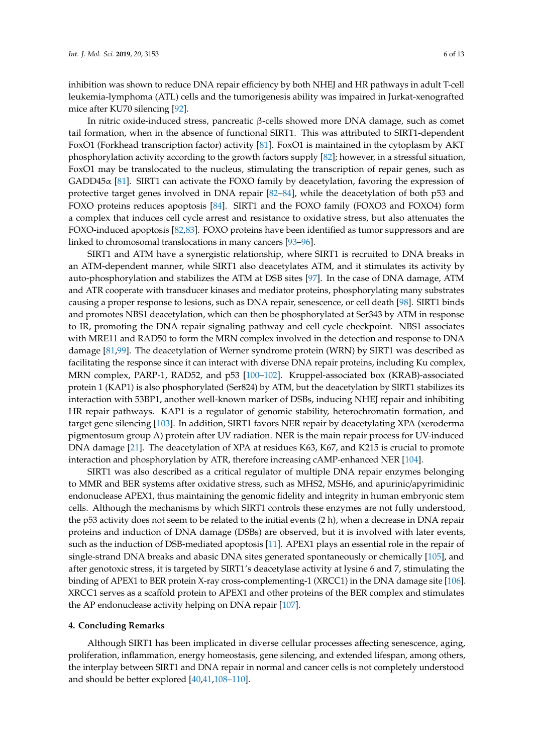inhibition was shown to reduce DNA repair efficiency by both NHEJ and HR pathways in adult T-cell leukemia-lymphoma (ATL) cells and the tumorigenesis ability was impaired in Jurkat-xenografted mice after KU70 silencing [\[92\]](#page-11-13).

In nitric oxide-induced stress, pancreatic β-cells showed more DNA damage, such as comet tail formation, when in the absence of functional SIRT1. This was attributed to SIRT1-dependent FoxO1 (Forkhead transcription factor) activity [\[81\]](#page-11-14). FoxO1 is maintained in the cytoplasm by AKT phosphorylation activity according to the growth factors supply [\[82\]](#page-11-15); however, in a stressful situation, FoxO1 may be translocated to the nucleus, stimulating the transcription of repair genes, such as  $GADD45\alpha$  [\[81\]](#page-11-14). SIRT1 can activate the FOXO family by deacetylation, favoring the expression of protective target genes involved in DNA repair [\[82–](#page-11-15)[84\]](#page-11-5), while the deacetylation of both p53 and FOXO proteins reduces apoptosis [\[84\]](#page-11-5). SIRT1 and the FOXO family (FOXO3 and FOXO4) form a complex that induces cell cycle arrest and resistance to oxidative stress, but also attenuates the FOXO-induced apoptosis [\[82](#page-11-15)[,83\]](#page-11-16). FOXO proteins have been identified as tumor suppressors and are linked to chromosomal translocations in many cancers [\[93–](#page-11-17)[96\]](#page-11-18).

SIRT1 and ATM have a synergistic relationship, where SIRT1 is recruited to DNA breaks in an ATM-dependent manner, while SIRT1 also deacetylates ATM, and it stimulates its activity by auto-phosphorylation and stabilizes the ATM at DSB sites [\[97\]](#page-12-0). In the case of DNA damage, ATM and ATR cooperate with transducer kinases and mediator proteins, phosphorylating many substrates causing a proper response to lesions, such as DNA repair, senescence, or cell death [\[98\]](#page-12-1). SIRT1 binds and promotes NBS1 deacetylation, which can then be phosphorylated at Ser343 by ATM in response to IR, promoting the DNA repair signaling pathway and cell cycle checkpoint. NBS1 associates with MRE11 and RAD50 to form the MRN complex involved in the detection and response to DNA damage [\[81](#page-11-14)[,99\]](#page-12-2). The deacetylation of Werner syndrome protein (WRN) by SIRT1 was described as facilitating the response since it can interact with diverse DNA repair proteins, including Ku complex, MRN complex, PARP-1, RAD52, and p53 [\[100–](#page-12-3)[102\]](#page-12-4). Kruppel-associated box (KRAB)-associated protein 1 (KAP1) is also phosphorylated (Ser824) by ATM, but the deacetylation by SIRT1 stabilizes its interaction with 53BP1, another well-known marker of DSBs, inducing NHEJ repair and inhibiting HR repair pathways. KAP1 is a regulator of genomic stability, heterochromatin formation, and target gene silencing [\[103\]](#page-12-5). In addition, SIRT1 favors NER repair by deacetylating XPA (xeroderma pigmentosum group A) protein after UV radiation. NER is the main repair process for UV-induced DNA damage [\[21\]](#page-8-9). The deacetylation of XPA at residues K63, K67, and K215 is crucial to promote interaction and phosphorylation by ATR, therefore increasing cAMP-enhanced NER [\[104\]](#page-12-6).

SIRT1 was also described as a critical regulator of multiple DNA repair enzymes belonging to MMR and BER systems after oxidative stress, such as MHS2, MSH6, and apurinic/apyrimidinic endonuclease APEX1, thus maintaining the genomic fidelity and integrity in human embryonic stem cells. Although the mechanisms by which SIRT1 controls these enzymes are not fully understood, the p53 activity does not seem to be related to the initial events (2 h), when a decrease in DNA repair proteins and induction of DNA damage (DSBs) are observed, but it is involved with later events, such as the induction of DSB-mediated apoptosis [\[11\]](#page-8-0). APEX1 plays an essential role in the repair of single-strand DNA breaks and abasic DNA sites generated spontaneously or chemically [\[105\]](#page-12-7), and after genotoxic stress, it is targeted by SIRT1's deacetylase activity at lysine 6 and 7, stimulating the binding of APEX1 to BER protein X-ray cross-complementing-1 (XRCC1) in the DNA damage site [\[106\]](#page-12-8). XRCC1 serves as a scaffold protein to APEX1 and other proteins of the BER complex and stimulates the AP endonuclease activity helping on DNA repair [\[107\]](#page-12-9).

## **4. Concluding Remarks**

Although SIRT1 has been implicated in diverse cellular processes affecting senescence, aging, proliferation, inflammation, energy homeostasis, gene silencing, and extended lifespan, among others, the interplay between SIRT1 and DNA repair in normal and cancer cells is not completely understood and should be better explored [\[40,](#page-9-3)[41,](#page-9-2)[108](#page-12-10)[–110\]](#page-12-11).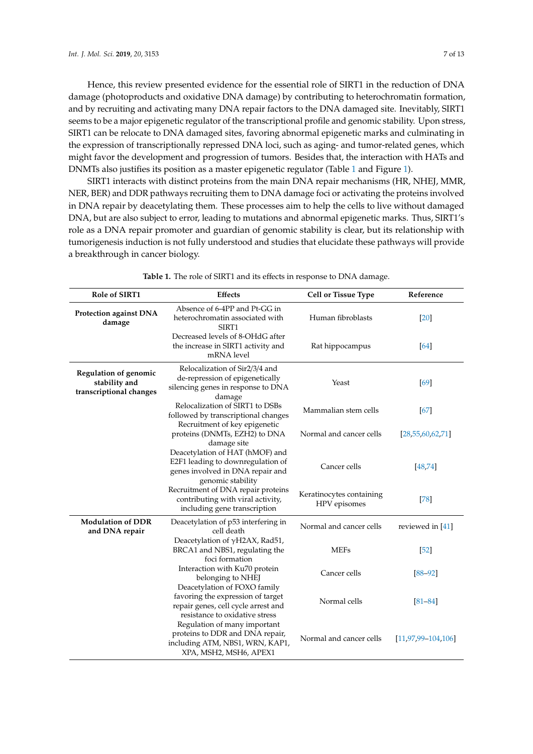Hence, this review presented evidence for the essential role of SIRT1 in the reduction of DNA damage (photoproducts and oxidative DNA damage) by contributing to heterochromatin formation, and by recruiting and activating many DNA repair factors to the DNA damaged site. Inevitably, SIRT1 seems to be a major epigenetic regulator of the transcriptional profile and genomic stability. Upon stress, SIRT1 can be relocate to DNA damaged sites, favoring abnormal epigenetic marks and culminating in the expression of transcriptionally repressed DNA loci, such as aging- and tumor-related genes, which might favor the development and progression of tumors. Besides that, the interaction with HATs and DNMTs also justifies its position as a master epigenetic regulator (Table [1](#page-6-0) and Figure [1\)](#page-7-8).

SIRT1 interacts with distinct proteins from the main DNA repair mechanisms (HR, NHEJ, MMR, NER, BER) and DDR pathways recruiting them to DNA damage foci or activating the proteins involved in DNA repair by deacetylating them. These processes aim to help the cells to live without damaged DNA, but are also subject to error, leading to mutations and abnormal epigenetic marks. Thus, SIRT1's role as a DNA repair promoter and guardian of genomic stability is clear, but its relationship with tumorigenesis induction is not fully understood and studies that elucidate these pathways will provide a breakthrough in cancer biology.

<span id="page-6-0"></span>

| <b>Role of SIRT1</b>                                                     | <b>Effects</b>                                                                                                                             | <b>Cell or Tissue Type</b>               | Reference                 |
|--------------------------------------------------------------------------|--------------------------------------------------------------------------------------------------------------------------------------------|------------------------------------------|---------------------------|
| <b>Protection against DNA</b><br>damage                                  | Absence of 6-4PP and Pt-GG in<br>heterochromatin associated with<br>SIRT1                                                                  | Human fibroblasts                        | [20]                      |
|                                                                          | Decreased levels of 8-OHdG after<br>the increase in SIRT1 activity and<br>mRNA level                                                       | Rat hippocampus                          | [64]                      |
| <b>Regulation of genomic</b><br>stability and<br>transcriptional changes | Relocalization of Sir2/3/4 and<br>de-repression of epigenetically<br>silencing genes in response to DNA<br>damage                          | Yeast                                    | [69]                      |
|                                                                          | Relocalization of SIRT1 to DSBs<br>followed by transcriptional changes                                                                     | Mammalian stem cells                     | [67]                      |
|                                                                          | Recruitment of key epigenetic<br>proteins (DNMTs, EZH2) to DNA<br>damage site                                                              | Normal and cancer cells                  | [28, 55, 60, 62, 71]      |
|                                                                          | Deacetylation of HAT (hMOF) and<br>E2F1 leading to downregulation of<br>genes involved in DNA repair and<br>genomic stability              | Cancer cells                             | [48, 74]                  |
|                                                                          | Recruitment of DNA repair proteins<br>contributing with viral activity,<br>including gene transcription                                    | Keratinocytes containing<br>HPV episomes | $[78]$                    |
| <b>Modulation of DDR</b><br>and DNA repair                               | Deacetylation of p53 interfering in<br>cell death                                                                                          | Normal and cancer cells                  | reviewed in [41]          |
|                                                                          | Deacetylation of γH2AX, Rad51,<br>BRCA1 and NBS1, regulating the<br>foci formation                                                         | <b>MEFs</b>                              | $[52]$                    |
|                                                                          | Interaction with Ku70 protein<br>belonging to NHEJ                                                                                         | Cancer cells                             | $[88 - 92]$               |
|                                                                          | Deacetylation of FOXO family<br>favoring the expression of target<br>repair genes, cell cycle arrest and<br>resistance to oxidative stress | Normal cells                             | $[81 - 84]$               |
|                                                                          | Regulation of many important<br>proteins to DDR and DNA repair,<br>including ATM, NBS1, WRN, KAP1,<br>XPA, MSH2, MSH6, APEX1               | Normal and cancer cells                  | $[11, 97, 99 - 104, 106]$ |

**Table 1.** The role of SIRT1 and its effects in response to DNA damage.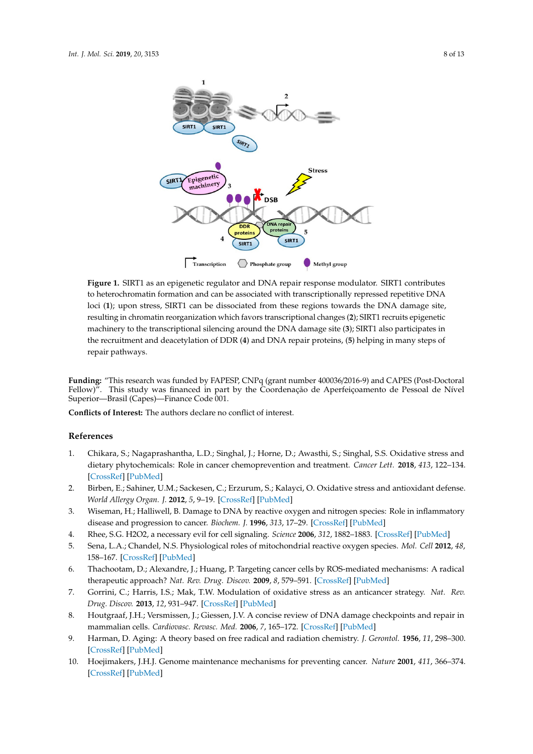<span id="page-7-8"></span>

loci (1); upon stress, SIRT1 can be dissociated from these regions towards the DNA damage site, resulting in chromatin reorganization which favors transcriptional changes (**2**); SIRT1 recruits epigenetic machinery to the transcriptional silencing around the DNA damage site (3); SIRT1 also participates in the recruitment and deacetylation of DDR (**4**) and DNA repair proteins, (**5**) helping in many steps of repair pathways. **Figure 1.** SIRT1 as an epigenetic regulator and DNA repair response modulator. SIRT1 contributes to heterochromatin formation and can be associated with transcriptionally repressed repetitive DNA

Funding: "This research was funded by FAPESP, CNPq (grant number 400036/2016-9) and CAPES (Post-Doctoral Superior—Brasil (Capes)—Finance Code 001. Fellow)". This study was financed in part by the Coordenação de Aperfeiçoamento de Pessoal de Nível

**Conflicts of Interest:** The authors declare no conflict of interest.

#### **Conflicts** of **References** *Confliction* $\mathbf{R}$  **<b>***References*

- <span id="page-7-0"></span>**References**  dietary phytochemicals: Role in cancer chemoprevention and treatment. *Cancer Lett.* **2018**, *413*, 122–134. [\[CrossRef\]](http://dx.doi.org/10.1016/j.canlet.2017.11.002) [PubMed] 1. Chikara, S.; Nagaprashantha, L.D.; Singhal, J.; Horne, D.; Awasthi, S.; Singhal, S.S. Oxidative stress and
- <span id="page-7-1"></span>2. Birben, E.; Sahiner, U.M.; Sackesen, C.; Erzurum, S.; Kalayci, O. Oxidative stress and antioxidant defense. *World Allergy Organ. J. 2012, 5, 9–*19. [CrossRef] [PubMed]
- *World Allergy Organ. J.* **2012**, *5*, 9–19. 3. Wiseman, H.; Halliwell, B. Damage to DNA by reactive oxygen and nitrogen species: Role in inflammatory disease and progression to cancer. *Biochem. J*. **1996**, 313, 17–29. [\[CrossRef\]](http://dx.doi.org/10.1042/bj3130017) [\[PubMed\]](http://www.ncbi.nlm.nih.gov/pubmed/8546679)
- disease and progression to cancer. *Biochem. J*. **1996**, *313*, 17–29. 4. Rhee, S.G. H2O2, a necessary evil for cell signaling. *Science* **2006**, *312*, 1882–1883. [\[CrossRef\]](http://dx.doi.org/10.1126/science.1130481) [\[PubMed\]](http://www.ncbi.nlm.nih.gov/pubmed/16809515)
- <span id="page-7-2"></span>5. Sena, L.A.; Chandel, N.S. Physiological roles of mitochondrial reactive oxygen species. Mol. Cell 2012, 48, 5. Sena, L.A.; Chandel, N.S. Physiological roles of mitochondrial reactive oxygen species. *Mol. Cell* **2012**, *48*, 158–167. [\[CrossRef\]](http://dx.doi.org/10.1016/j.molcel.2012.09.025) [\[PubMed\]](http://www.ncbi.nlm.nih.gov/pubmed/23102266)
- <span id="page-7-3"></span>158–167. 6. Thachootam, D.; Alexandre, J.; Huang, P. Targeting cancer cells by ROS-mediated mechanisms: A radical therapeutic approach? *Nat. Rev. Drug. Discov.* **2009**, *8*, 579–591. [\[CrossRef\]](http://dx.doi.org/10.1038/nrd2803) [\[PubMed\]](http://www.ncbi.nlm.nih.gov/pubmed/19478820)
- <span id="page-7-4"></span>7. Gorrini, C.; Harris, I.S.; Mak, T.W. Modulation of oxidative stress as an anticancer strategy. *Nat. Rev.* 7. Gorrini, C.; Harris, I.S.; Mak, T.W. Modulation of oxidative stress as an anticancer strategy. *Nat. Rev. Drug. Drug. Discov.* **2013**, *12*, 931–947. [\[CrossRef\]](http://dx.doi.org/10.1038/nrd4002) [\[PubMed\]](http://www.ncbi.nlm.nih.gov/pubmed/24287781)
- <span id="page-7-5"></span>*Discov*. **2013**, *12*, 931–947. 8. Houtgraaf, J.H.; Versmissen, J.; Giessen, J.V. A concise review of DNA damage checkpoints and repair in mammalian cells. *Cardiovasc. Revasc. Med.* **2006**, 7, 165–172. [\[CrossRef\]](http://dx.doi.org/10.1016/j.carrev.2006.02.002) [\[PubMed\]](http://www.ncbi.nlm.nih.gov/pubmed/16945824)
- <span id="page-7-6"></span>mammalian cells. *Cardiovasc. Revasc. Med.* **2006**, *7*, 165–172. 9. Harman, D. Aging: A theory based on free radical and radiation chemistry. *J. Gerontol.* **1956**, *11*, 298–300. 9. Harman, D. Aging: A theory based on free radical and radiation chemistry. *J. Gerontol*. **1956**, *11*, 298–300. [\[CrossRef\]](http://dx.doi.org/10.1093/geronj/11.3.298) [\[PubMed\]](http://www.ncbi.nlm.nih.gov/pubmed/13332224)
- <span id="page-7-7"></span>10. Hoejimakers, J.H.J. Genome maintenance mechanisms for preventing cancer. Nature 2001, 411, 366-374. [\[CrossRef\]](http://dx.doi.org/10.1038/35077232) [\[PubMed\]](http://www.ncbi.nlm.nih.gov/pubmed/11357144)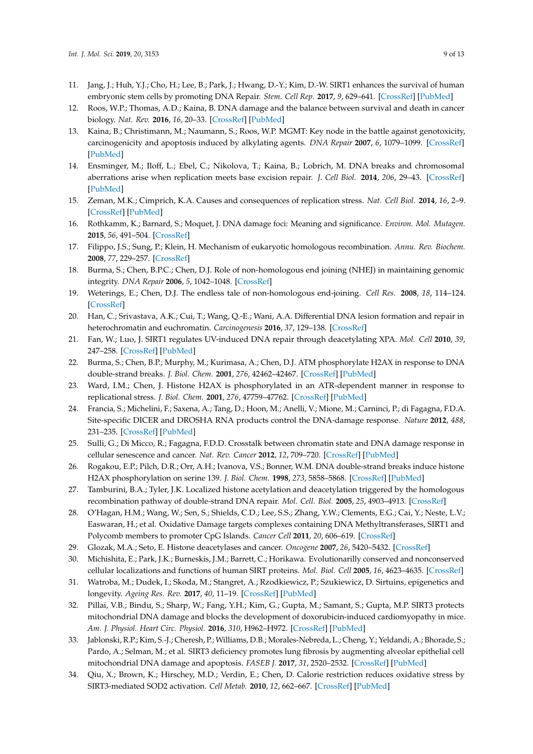- <span id="page-8-0"></span>11. Jang, J.; Huh, Y.J.; Cho, H.; Lee, B.; Park, J.; Hwang, D.-Y.; Kim, D.-W. SIRT1 enhances the survival of human embryonic stem cells by promoting DNA Repair. *Stem. Cell Rep.* **2017**, *9*, 629–641. [\[CrossRef\]](http://dx.doi.org/10.1016/j.stemcr.2017.06.001) [\[PubMed\]](http://www.ncbi.nlm.nih.gov/pubmed/28689995)
- <span id="page-8-1"></span>12. Roos, W.P.; Thomas, A.D.; Kaina, B. DNA damage and the balance between survival and death in cancer biology. *Nat. Rev.* **2016**, *16*, 20–33. [\[CrossRef\]](http://dx.doi.org/10.1038/nrc.2015.2) [\[PubMed\]](http://www.ncbi.nlm.nih.gov/pubmed/26678314)
- <span id="page-8-2"></span>13. Kaina, B.; Christimann, M.; Naumann, S.; Roos, W.P. MGMT: Key node in the battle against genotoxicity, carcinogenicity and apoptosis induced by alkylating agents. *DNA Repair* **2007**, *6*, 1079–1099. [\[CrossRef\]](http://dx.doi.org/10.1016/j.dnarep.2007.03.008) [\[PubMed\]](http://www.ncbi.nlm.nih.gov/pubmed/17485253)
- 14. Ensminger, M.; Iloff, L.; Ebel, C.; Nikolova, T.; Kaina, B.; Lobrich, M. DNA breaks and chromosomal aberrations arise when replication meets base excision repair. *J. Cell Biol.* **2014**, *206*, 29–43. [\[CrossRef\]](http://dx.doi.org/10.1083/jcb.201312078) [\[PubMed\]](http://www.ncbi.nlm.nih.gov/pubmed/24982429)
- <span id="page-8-3"></span>15. Zeman, M.K.; Cimprich, K.A. Causes and consequences of replication stress. *Nat. Cell Biol.* **2014**, *16*, 2–9. [\[CrossRef\]](http://dx.doi.org/10.1038/ncb2897) [\[PubMed\]](http://www.ncbi.nlm.nih.gov/pubmed/24366029)
- <span id="page-8-4"></span>16. Rothkamm, K.; Barnard, S.; Moquet, J. DNA damage foci: Meaning and significance. *Environ. Mol. Mutagen.* **2015**, *56*, 491–504. [\[CrossRef\]](http://dx.doi.org/10.1002/em.21944)
- <span id="page-8-5"></span>17. Filippo, J.S.; Sung, P.; Klein, H. Mechanism of eukaryotic homologous recombination. *Annu. Rev. Biochem.* **2008**, *77*, 229–257. [\[CrossRef\]](http://dx.doi.org/10.1146/annurev.biochem.77.061306.125255)
- <span id="page-8-6"></span>18. Burma, S.; Chen, B.P.C.; Chen, D.J. Role of non-homologous end joining (NHEJ) in maintaining genomic integrity. *DNA Repair* **2006**, *5*, 1042–1048. [\[CrossRef\]](http://dx.doi.org/10.1016/j.dnarep.2006.05.026)
- <span id="page-8-7"></span>19. Weterings, E.; Chen, D.J. The endless tale of non-homologous end-joining. *Cell Res.* **2008**, *18*, 114–124. [\[CrossRef\]](http://dx.doi.org/10.1038/cr.2008.3)
- <span id="page-8-8"></span>20. Han, C.; Srivastava, A.K.; Cui, T.; Wang, Q.-E.; Wani, A.A. Differential DNA lesion formation and repair in heterochromatin and euchromatin. *Carcinogenesis* **2016**, *37*, 129–138. [\[CrossRef\]](http://dx.doi.org/10.1093/carcin/bgv247)
- <span id="page-8-9"></span>21. Fan, W.; Luo, J. SIRT1 regulates UV-induced DNA repair through deacetylating XPA. *Mol. Cell* **2010**, *39*, 247–258. [\[CrossRef\]](http://dx.doi.org/10.1016/j.molcel.2010.07.006) [\[PubMed\]](http://www.ncbi.nlm.nih.gov/pubmed/20670893)
- <span id="page-8-10"></span>22. Burma, S.; Chen, B.P.; Murphy, M.; Kurimasa, A.; Chen, D.J. ATM phosphorylate H2AX in response to DNA double-strand breaks. *J. Biol. Chem.* **2001**, *276*, 42462–42467. [\[CrossRef\]](http://dx.doi.org/10.1074/jbc.C100466200) [\[PubMed\]](http://www.ncbi.nlm.nih.gov/pubmed/11571274)
- 23. Ward, I.M.; Chen, J. Histone H2AX is phosphorylated in an ATR-dependent manner in response to replicational stress. *J. Biol. Chem.* **2001**, *276*, 47759–47762. [\[CrossRef\]](http://dx.doi.org/10.1074/jbc.C100569200) [\[PubMed\]](http://www.ncbi.nlm.nih.gov/pubmed/11673449)
- 24. Francia, S.; Michelini, F.; Saxena, A.; Tang, D.; Hoon, M.; Anelli, V.; Mione, M.; Carninci, P.; di Fagagna, F.D.A. Site-specific DICER and DROSHA RNA products control the DNA-damage response. *Nature* **2012**, *488*, 231–235. [\[CrossRef\]](http://dx.doi.org/10.1038/nature11179) [\[PubMed\]](http://www.ncbi.nlm.nih.gov/pubmed/22722852)
- <span id="page-8-11"></span>25. Sulli, G.; Di Micco, R.; Fagagna, F.D.D. Crosstalk between chromatin state and DNA damage response in cellular senescence and cancer. *Nat. Rev. Cancer* **2012**, *12*, 709–720. [\[CrossRef\]](http://dx.doi.org/10.1038/nrc3344) [\[PubMed\]](http://www.ncbi.nlm.nih.gov/pubmed/22952011)
- <span id="page-8-12"></span>26. Rogakou, E.P.; Pilch, D.R.; Orr, A.H.; Ivanova, V.S.; Bonner, W.M. DNA double-strand breaks induce histone H2AX phosphorylation on serine 139. *J. Biol. Chem.* **1998**, *273*, 5858–5868. [\[CrossRef\]](http://dx.doi.org/10.1074/jbc.273.10.5858) [\[PubMed\]](http://www.ncbi.nlm.nih.gov/pubmed/9488723)
- <span id="page-8-13"></span>27. Tamburini, B.A.; Tyler, J.K. Localized histone acetylation and deacetylation triggered by the homologous recombination pathway of double-strand DNA repair. *Mol. Cell. Biol.* **2005**, *25*, 4903–4913. [\[CrossRef\]](http://dx.doi.org/10.1128/MCB.25.12.4903-4913.2005)
- <span id="page-8-14"></span>28. O'Hagan, H.M.; Wang, W.; Sen, S.; Shields, C.D.; Lee, S.S.; Zhang, Y.W.; Clements, E.G.; Cai, Y.; Neste, L.V.; Easwaran, H.; et al. Oxidative Damage targets complexes containing DNA Methyltransferases, SIRT1 and Polycomb members to promoter CpG Islands. *Cancer Cell* **2011**, *20*, 606–619. [\[CrossRef\]](http://dx.doi.org/10.1016/j.ccr.2011.09.012)
- <span id="page-8-15"></span>29. Glozak, M.A.; Seto, E. Histone deacetylases and cancer. *Oncogene* **2007**, *26*, 5420–5432. [\[CrossRef\]](http://dx.doi.org/10.1038/sj.onc.1210610)
- <span id="page-8-16"></span>30. Michishita, E.; Park, J.K.; Burneskis, J.M.; Barrett, C.; Horikawa. Evolutionarilly conserved and nonconserved cellular localizations and functions of human SIRT proteins. *Mol. Biol. Cell* **2005**, *16*, 4623–4635. [\[CrossRef\]](http://dx.doi.org/10.1091/mbc.e05-01-0033)
- <span id="page-8-18"></span>31. Watroba, M.; Dudek, I.; Skoda, M.; Stangret, A.; Rzodkiewicz, P.; Szukiewicz, D. Sirtuins, epigenetics and longevity. *Ageing Res. Rev.* **2017**, *40*, 11–19. [\[CrossRef\]](http://dx.doi.org/10.1016/j.arr.2017.08.001) [\[PubMed\]](http://www.ncbi.nlm.nih.gov/pubmed/28789901)
- 32. Pillai, V.B.; Bindu, S.; Sharp, W.; Fang, Y.H.; Kim, G.; Gupta, M.; Samant, S.; Gupta, M.P. SIRT3 protects mitochondrial DNA damage and blocks the development of doxorubicin-induced cardiomyopathy in mice. *Am. J. Physiol. Heart Circ. Physiol.* **2016**, *310*, H962–H972. [\[CrossRef\]](http://dx.doi.org/10.1152/ajpheart.00832.2015) [\[PubMed\]](http://www.ncbi.nlm.nih.gov/pubmed/26873966)
- <span id="page-8-17"></span>33. Jablonski, R.P.; Kim, S.-J.; Cheresh, P.; Williams, D.B.; Morales-Nebreda, L.; Cheng, Y.; Yeldandi, A.; Bhorade, S.; Pardo, A.; Selman, M.; et al. SIRT3 deficiency promotes lung fibrosis by augmenting alveolar epithelial cell mitochondrial DNA damage and apoptosis. *FASEB J.* **2017**, *31*, 2520–2532. [\[CrossRef\]](http://dx.doi.org/10.1096/fj.201601077R) [\[PubMed\]](http://www.ncbi.nlm.nih.gov/pubmed/28258190)
- <span id="page-8-19"></span>34. Qiu, X.; Brown, K.; Hirschey, M.D.; Verdin, E.; Chen, D. Calorie restriction reduces oxidative stress by SIRT3-mediated SOD2 activation. *Cell Metab.* **2010**, *12*, 662–667. [\[CrossRef\]](http://dx.doi.org/10.1016/j.cmet.2010.11.015) [\[PubMed\]](http://www.ncbi.nlm.nih.gov/pubmed/21109198)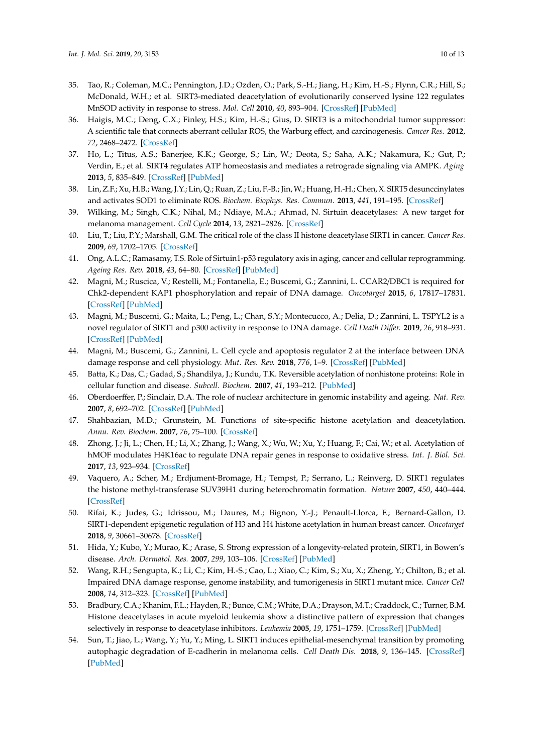- 35. Tao, R.; Coleman, M.C.; Pennington, J.D.; Ozden, O.; Park, S.-H.; Jiang, H.; Kim, H.-S.; Flynn, C.R.; Hill, S.; McDonald, W.H.; et al. SIRT3-mediated deacetylation of evolutionarily conserved lysine 122 regulates MnSOD activity in response to stress. *Mol. Cell* **2010**, *40*, 893–904. [\[CrossRef\]](http://dx.doi.org/10.1016/j.molcel.2010.12.013) [\[PubMed\]](http://www.ncbi.nlm.nih.gov/pubmed/21172655)
- 36. Haigis, M.C.; Deng, C.X.; Finley, H.S.; Kim, H.-S.; Gius, D. SIRT3 is a mitochondrial tumor suppressor: A scientific tale that connects aberrant cellular ROS, the Warburg effect, and carcinogenesis. *Cancer Res.* **2012**, *72*, 2468–2472. [\[CrossRef\]](http://dx.doi.org/10.1158/0008-5472.CAN-11-3633)
- 37. Ho, L.; Titus, A.S.; Banerjee, K.K.; George, S.; Lin, W.; Deota, S.; Saha, A.K.; Nakamura, K.; Gut, P.; Verdin, E.; et al. SIRT4 regulates ATP homeostasis and mediates a retrograde signaling via AMPK. *Aging* **2013**, *5*, 835–849. [\[CrossRef\]](http://dx.doi.org/10.18632/aging.100616) [\[PubMed\]](http://www.ncbi.nlm.nih.gov/pubmed/24296486)
- <span id="page-9-0"></span>38. Lin, Z.F.; Xu, H.B.; Wang, J.Y.; Lin, Q.; Ruan, Z.; Liu, F.-B.; Jin,W.; Huang, H.-H.; Chen, X. SIRT5 desunccinylates and activates SOD1 to eliminate ROS. *Biochem. Biophys. Res. Commun.* **2013**, *441*, 191–195. [\[CrossRef\]](http://dx.doi.org/10.1016/j.bbrc.2013.10.033)
- <span id="page-9-1"></span>39. Wilking, M.; Singh, C.K.; Nihal, M.; Ndiaye, M.A.; Ahmad, N. Sirtuin deacetylases: A new target for melanoma management. *Cell Cycle* **2014**, *13*, 2821–2826. [\[CrossRef\]](http://dx.doi.org/10.4161/15384101.2014.949085)
- <span id="page-9-3"></span>40. Liu, T.; Liu, P.Y.; Marshall, G.M. The critical role of the class II histone deacetylase SIRT1 in cancer. *Cancer Res.* **2009**, *69*, 1702–1705. [\[CrossRef\]](http://dx.doi.org/10.1158/0008-5472.CAN-08-3365)
- <span id="page-9-2"></span>41. Ong, A.L.C.; Ramasamy, T.S. Role of Sirtuin1-p53 regulatory axis in aging, cancer and cellular reprogramming. *Ageing Res. Rev.* **2018**, *43*, 64–80. [\[CrossRef\]](http://dx.doi.org/10.1016/j.arr.2018.02.004) [\[PubMed\]](http://www.ncbi.nlm.nih.gov/pubmed/29476819)
- 42. Magni, M.; Ruscica, V.; Restelli, M.; Fontanella, E.; Buscemi, G.; Zannini, L. CCAR2/DBC1 is required for Chk2-dependent KAP1 phosphorylation and repair of DNA damage. *Oncotarget* **2015**, *6*, 17817–17831. [\[CrossRef\]](http://dx.doi.org/10.18632/oncotarget.4417) [\[PubMed\]](http://www.ncbi.nlm.nih.gov/pubmed/26158765)
- 43. Magni, M.; Buscemi, G.; Maita, L.; Peng, L.; Chan, S.Y.; Montecucco, A.; Delia, D.; Zannini, L. TSPYL2 is a novel regulator of SIRT1 and p300 activity in response to DNA damage. *Cell Death Di*ff*er.* **2019**, *26*, 918–931. [\[CrossRef\]](http://dx.doi.org/10.1038/s41418-018-0168-6) [\[PubMed\]](http://www.ncbi.nlm.nih.gov/pubmed/30050056)
- <span id="page-9-4"></span>44. Magni, M.; Buscemi, G.; Zannini, L. Cell cycle and apoptosis regulator 2 at the interface between DNA damage response and cell physiology. *Mut. Res. Rev.* **2018**, *776*, 1–9. [\[CrossRef\]](http://dx.doi.org/10.1016/j.mrrev.2018.03.004) [\[PubMed\]](http://www.ncbi.nlm.nih.gov/pubmed/29807573)
- <span id="page-9-5"></span>45. Batta, K.; Das, C.; Gadad, S.; Shandilya, J.; Kundu, T.K. Reversible acetylation of nonhistone proteins: Role in cellular function and disease. *Subcell. Biochem.* **2007**, *41*, 193–212. [\[PubMed\]](http://www.ncbi.nlm.nih.gov/pubmed/17484129)
- <span id="page-9-6"></span>46. Oberdoerffer, P.; Sinclair, D.A. The role of nuclear architecture in genomic instability and ageing. *Nat. Rev.* **2007**, *8*, 692–702. [\[CrossRef\]](http://dx.doi.org/10.1038/nrm2238) [\[PubMed\]](http://www.ncbi.nlm.nih.gov/pubmed/17700626)
- <span id="page-9-7"></span>47. Shahbazian, M.D.; Grunstein, M. Functions of site-specific histone acetylation and deacetylation. *Annu. Rev. Biochem.* **2007**, *76*, 75–100. [\[CrossRef\]](http://dx.doi.org/10.1146/annurev.biochem.76.052705.162114)
- <span id="page-9-8"></span>48. Zhong, J.; Ji, L.; Chen, H.; Li, X.; Zhang, J.; Wang, X.; Wu, W.; Xu, Y.; Huang, F.; Cai, W.; et al. Acetylation of hMOF modulates H4K16ac to regulate DNA repair genes in response to oxidative stress. *Int. J. Biol. Sci.* **2017**, *13*, 923–934. [\[CrossRef\]](http://dx.doi.org/10.7150/ijbs.17260)
- <span id="page-9-9"></span>49. Vaquero, A.; Scher, M.; Erdjument-Bromage, H.; Tempst, P.; Serrano, L.; Reinverg, D. SIRT1 regulates the histone methyl-transferase SUV39H1 during heterochromatin formation. *Nature* **2007**, *450*, 440–444. [\[CrossRef\]](http://dx.doi.org/10.1038/nature06268)
- <span id="page-9-10"></span>50. Rifai, K.; Judes, G.; Idrissou, M.; Daures, M.; Bignon, Y.-J.; Penault-Llorca, F.; Bernard-Gallon, D. SIRT1-dependent epigenetic regulation of H3 and H4 histone acetylation in human breast cancer. *Oncotarget* **2018**, *9*, 30661–30678. [\[CrossRef\]](http://dx.doi.org/10.18632/oncotarget.25771)
- <span id="page-9-11"></span>51. Hida, Y.; Kubo, Y.; Murao, K.; Arase, S. Strong expression of a longevity-related protein, SIRT1, in Bowen's disease. *Arch. Dermatol. Res.* **2007**, *299*, 103–106. [\[CrossRef\]](http://dx.doi.org/10.1007/s00403-006-0725-6) [\[PubMed\]](http://www.ncbi.nlm.nih.gov/pubmed/17180656)
- <span id="page-9-12"></span>52. Wang, R.H.; Sengupta, K.; Li, C.; Kim, H.-S.; Cao, L.; Xiao, C.; Kim, S.; Xu, X.; Zheng, Y.; Chilton, B.; et al. Impaired DNA damage response, genome instability, and tumorigenesis in SIRT1 mutant mice. *Cancer Cell* **2008**, *14*, 312–323. [\[CrossRef\]](http://dx.doi.org/10.1016/j.ccr.2008.09.001) [\[PubMed\]](http://www.ncbi.nlm.nih.gov/pubmed/18835033)
- <span id="page-9-13"></span>53. Bradbury, C.A.; Khanim, F.L.; Hayden, R.; Bunce, C.M.; White, D.A.; Drayson, M.T.; Craddock, C.; Turner, B.M. Histone deacetylases in acute myeloid leukemia show a distinctive pattern of expression that changes selectively in response to deacetylase inhibitors. *Leukemia* **2005**, *19*, 1751–1759. [\[CrossRef\]](http://dx.doi.org/10.1038/sj.leu.2403910) [\[PubMed\]](http://www.ncbi.nlm.nih.gov/pubmed/16121216)
- <span id="page-9-14"></span>54. Sun, T.; Jiao, L.; Wang, Y.; Yu, Y.; Ming, L. SIRT1 induces epithelial-mesenchymal transition by promoting autophagic degradation of E-cadherin in melanoma cells. *Cell Death Dis.* **2018**, *9*, 136–145. [\[CrossRef\]](http://dx.doi.org/10.1038/s41419-017-0167-4) [\[PubMed\]](http://www.ncbi.nlm.nih.gov/pubmed/29374154)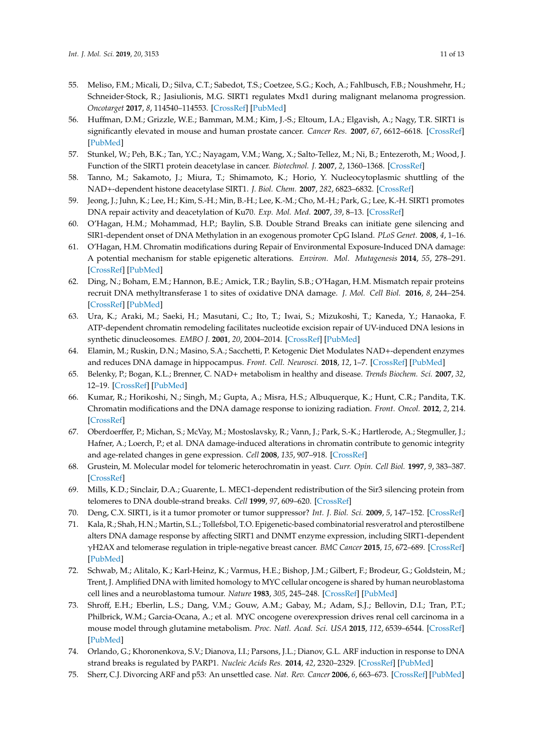- <span id="page-10-0"></span>55. Meliso, F.M.; Micali, D.; Silva, C.T.; Sabedot, T.S.; Coetzee, S.G.; Koch, A.; Fahlbusch, F.B.; Noushmehr, H.; Schneider-Stock, R.; Jasiulionis, M.G. SIRT1 regulates Mxd1 during malignant melanoma progression. *Oncotarget* **2017**, *8*, 114540–114553. [\[CrossRef\]](http://dx.doi.org/10.18632/oncotarget.21457) [\[PubMed\]](http://www.ncbi.nlm.nih.gov/pubmed/29383100)
- <span id="page-10-1"></span>56. Huffman, D.M.; Grizzle, W.E.; Bamman, M.M.; Kim, J.-S.; Eltoum, I.A.; Elgavish, A.; Nagy, T.R. SIRT1 is significantly elevated in mouse and human prostate cancer. *Cancer Res.* **2007**, *67*, 6612–6618. [\[CrossRef\]](http://dx.doi.org/10.1158/0008-5472.CAN-07-0085) [\[PubMed\]](http://www.ncbi.nlm.nih.gov/pubmed/17638871)
- <span id="page-10-2"></span>57. Stunkel, W.; Peh, B.K.; Tan, Y.C.; Nayagam, V.M.; Wang, X.; Salto-Tellez, M.; Ni, B.; Entezeroth, M.; Wood, J. Function of the SIRT1 protein deacetylase in cancer. *Biotechnol. J.* **2007**, *2*, 1360–1368. [\[CrossRef\]](http://dx.doi.org/10.1002/biot.200700087)
- <span id="page-10-3"></span>58. Tanno, M.; Sakamoto, J.; Miura, T.; Shimamoto, K.; Horio, Y. Nucleocytoplasmic shuttling of the NAD+-dependent histone deacetylase SIRT1. *J. Biol. Chem.* **2007**, *282*, 6823–6832. [\[CrossRef\]](http://dx.doi.org/10.1074/jbc.M609554200)
- <span id="page-10-4"></span>59. Jeong, J.; Juhn, K.; Lee, H.; Kim, S.-H.; Min, B.-H.; Lee, K.-M.; Cho, M.-H.; Park, G.; Lee, K.-H. SIRT1 promotes DNA repair activity and deacetylation of Ku70. *Exp. Mol. Med.* **2007**, *39*, 8–13. [\[CrossRef\]](http://dx.doi.org/10.1038/emm.2007.2)
- <span id="page-10-15"></span>60. O'Hagan, H.M.; Mohammad, H.P.; Baylin, S.B. Double Strand Breaks can initiate gene silencing and SIR1-dependent onset of DNA Methylation in an exogenous promoter CpG Island. *PLoS Genet.* **2008**, *4*, 1–16.
- <span id="page-10-6"></span>61. O'Hagan, H.M. Chromatin modifications during Repair of Environmental Exposure-Induced DNA damage: A potential mechanism for stable epigenetic alterations. *Environ. Mol. Mutagenesis* **2014**, *55*, 278–291. [\[CrossRef\]](http://dx.doi.org/10.1002/em.21830) [\[PubMed\]](http://www.ncbi.nlm.nih.gov/pubmed/24259318)
- <span id="page-10-5"></span>62. Ding, N.; Boham, E.M.; Hannon, B.E.; Amick, T.R.; Baylin, S.B.; O'Hagan, H.M. Mismatch repair proteins recruit DNA methyltransferase 1 to sites of oxidative DNA damage. *J. Mol. Cell Biol.* **2016**, *8*, 244–254. [\[CrossRef\]](http://dx.doi.org/10.1093/jmcb/mjv050) [\[PubMed\]](http://www.ncbi.nlm.nih.gov/pubmed/26186941)
- <span id="page-10-7"></span>63. Ura, K.; Araki, M.; Saeki, H.; Masutani, C.; Ito, T.; Iwai, S.; Mizukoshi, T.; Kaneda, Y.; Hanaoka, F. ATP-dependent chromatin remodeling facilitates nucleotide excision repair of UV-induced DNA lesions in synthetic dinucleosomes. *EMBO J.* **2001**, *20*, 2004–2014. [\[CrossRef\]](http://dx.doi.org/10.1093/emboj/20.8.2004) [\[PubMed\]](http://www.ncbi.nlm.nih.gov/pubmed/11296233)
- <span id="page-10-8"></span>64. Elamin, M.; Ruskin, D.N.; Masino, S.A.; Sacchetti, P. Ketogenic Diet Modulates NAD+-dependent enzymes and reduces DNA damage in hippocampus. *Front. Cell. Neurosci.* **2018**, *12*, 1–7. [\[CrossRef\]](http://dx.doi.org/10.3389/fncel.2018.00263) [\[PubMed\]](http://www.ncbi.nlm.nih.gov/pubmed/30214397)
- <span id="page-10-9"></span>65. Belenky, P.; Bogan, K.L.; Brenner, C. NAD+ metabolism in healthy and disease. *Trends Biochem. Sci.* **2007**, *32*, 12–19. [\[CrossRef\]](http://dx.doi.org/10.1016/j.tibs.2006.11.006) [\[PubMed\]](http://www.ncbi.nlm.nih.gov/pubmed/17161604)
- <span id="page-10-10"></span>66. Kumar, R.; Horikoshi, N.; Singh, M.; Gupta, A.; Misra, H.S.; Albuquerque, K.; Hunt, C.R.; Pandita, T.K. Chromatin modifications and the DNA damage response to ionizing radiation. *Front. Oncol.* **2012**, *2*, 214. [\[CrossRef\]](http://dx.doi.org/10.3389/fonc.2012.00214)
- <span id="page-10-11"></span>67. Oberdoerffer, P.; Michan, S.; McVay, M.; Mostoslavsky, R.; Vann, J.; Park, S.-K.; Hartlerode, A.; Stegmuller, J.; Hafner, A.; Loerch, P.; et al. DNA damage-induced alterations in chromatin contribute to genomic integrity and age-related changes in gene expression. *Cell* **2008**, *135*, 907–918. [\[CrossRef\]](http://dx.doi.org/10.1016/j.cell.2008.10.025)
- 68. Grustein, M. Molecular model for telomeric heterochromatin in yeast. *Curr. Opin. Cell Biol.* **1997**, *9*, 383–387. [\[CrossRef\]](http://dx.doi.org/10.1016/S0955-0674(97)80011-7)
- <span id="page-10-12"></span>69. Mills, K.D.; Sinclair, D.A.; Guarente, L. MEC1-dependent redistribution of the Sir3 silencing protein from telomeres to DNA double-strand breaks. *Cell* **1999**, *97*, 609–620. [\[CrossRef\]](http://dx.doi.org/10.1016/S0092-8674(00)80772-2)
- <span id="page-10-13"></span>70. Deng, C.X. SIRT1, is it a tumor promoter or tumor suppressor? *Int. J. Biol. Sci.* **2009**, *5*, 147–152. [\[CrossRef\]](http://dx.doi.org/10.7150/ijbs.5.147)
- <span id="page-10-14"></span>71. Kala, R.; Shah, H.N.; Martin, S.L.; Tollefsbol, T.O. Epigenetic-based combinatorial resveratrol and pterostilbene alters DNA damage response by affecting SIRT1 and DNMT enzyme expression, including SIRT1-dependent γH2AX and telomerase regulation in triple-negative breast cancer. *BMC Cancer* **2015**, *15*, 672–689. [\[CrossRef\]](http://dx.doi.org/10.1186/s12885-015-1693-z) [\[PubMed\]](http://www.ncbi.nlm.nih.gov/pubmed/26459286)
- <span id="page-10-16"></span>72. Schwab, M.; Alitalo, K.; Karl-Heinz, K.; Varmus, H.E.; Bishop, J.M.; Gilbert, F.; Brodeur, G.; Goldstein, M.; Trent, J. Amplified DNA with limited homology to MYC cellular oncogene is shared by human neuroblastoma cell lines and a neuroblastoma tumour. *Nature* **1983**, *305*, 245–248. [\[CrossRef\]](http://dx.doi.org/10.1038/305245a0) [\[PubMed\]](http://www.ncbi.nlm.nih.gov/pubmed/6888561)
- <span id="page-10-17"></span>73. Shroff, E.H.; Eberlin, L.S.; Dang, V.M.; Gouw, A.M.; Gabay, M.; Adam, S.J.; Bellovin, D.I.; Tran, P.T.; Philbrick, W.M.; Garcia-Ocana, A.; et al. MYC oncogene overexpression drives renal cell carcinoma in a mouse model through glutamine metabolism. *Proc. Natl. Acad. Sci. USA* **2015**, *112*, 6539–6544. [\[CrossRef\]](http://dx.doi.org/10.1073/pnas.1507228112) [\[PubMed\]](http://www.ncbi.nlm.nih.gov/pubmed/25964345)
- <span id="page-10-18"></span>74. Orlando, G.; Khoronenkova, S.V.; Dianova, I.I.; Parsons, J.L.; Dianov, G.L. ARF induction in response to DNA strand breaks is regulated by PARP1. *Nucleic Acids Res.* **2014**, *42*, 2320–2329. [\[CrossRef\]](http://dx.doi.org/10.1093/nar/gkt1185) [\[PubMed\]](http://www.ncbi.nlm.nih.gov/pubmed/24293653)
- <span id="page-10-19"></span>75. Sherr, C.J. Divorcing ARF and p53: An unsettled case. *Nat. Rev. Cancer* **2006**, *6*, 663–673. [\[CrossRef\]](http://dx.doi.org/10.1038/nrc1954) [\[PubMed\]](http://www.ncbi.nlm.nih.gov/pubmed/16915296)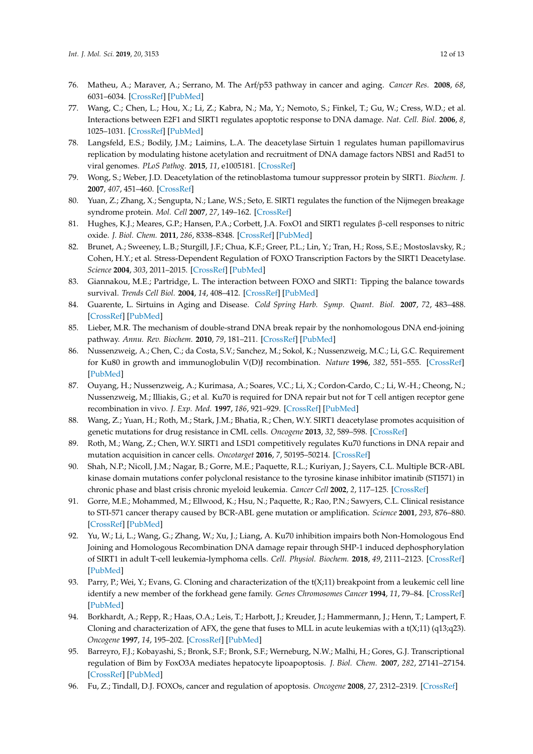- <span id="page-11-0"></span>76. Matheu, A.; Maraver, A.; Serrano, M. The Arf/p53 pathway in cancer and aging. *Cancer Res.* **2008**, *68*, 6031–6034. [\[CrossRef\]](http://dx.doi.org/10.1158/0008-5472.CAN-07-6851) [\[PubMed\]](http://www.ncbi.nlm.nih.gov/pubmed/18676821)
- <span id="page-11-1"></span>77. Wang, C.; Chen, L.; Hou, X.; Li, Z.; Kabra, N.; Ma, Y.; Nemoto, S.; Finkel, T.; Gu, W.; Cress, W.D.; et al. Interactions between E2F1 and SIRT1 regulates apoptotic response to DNA damage. *Nat. Cell. Biol.* **2006**, *8*, 1025–1031. [\[CrossRef\]](http://dx.doi.org/10.1038/ncb1468) [\[PubMed\]](http://www.ncbi.nlm.nih.gov/pubmed/16892051)
- <span id="page-11-2"></span>78. Langsfeld, E.S.; Bodily, J.M.; Laimins, L.A. The deacetylase Sirtuin 1 regulates human papillomavirus replication by modulating histone acetylation and recruitment of DNA damage factors NBS1 and Rad51 to viral genomes. *PLoS Pathog.* **2015**, *11*, e1005181. [\[CrossRef\]](http://dx.doi.org/10.1371/journal.ppat.1005181)
- <span id="page-11-3"></span>79. Wong, S.; Weber, J.D. Deacetylation of the retinoblastoma tumour suppressor protein by SIRT1. *Biochem. J.* **2007**, *407*, 451–460. [\[CrossRef\]](http://dx.doi.org/10.1042/BJ20070151)
- <span id="page-11-4"></span>80. Yuan, Z.; Zhang, X.; Sengupta, N.; Lane, W.S.; Seto, E. SIRT1 regulates the function of the Nijmegen breakage syndrome protein. *Mol. Cell* **2007**, *27*, 149–162. [\[CrossRef\]](http://dx.doi.org/10.1016/j.molcel.2007.05.029)
- <span id="page-11-14"></span>81. Hughes, K.J.; Meares, G.P.; Hansen, P.A.; Corbett, J.A. FoxO1 and SIRT1 regulates β-cell responses to nitric oxide. *J. Biol. Chem.* **2011**, *286*, 8338–8348. [\[CrossRef\]](http://dx.doi.org/10.1074/jbc.M110.204768) [\[PubMed\]](http://www.ncbi.nlm.nih.gov/pubmed/21196578)
- <span id="page-11-15"></span>82. Brunet, A.; Sweeney, L.B.; Sturgill, J.F.; Chua, K.F.; Greer, P.L.; Lin, Y.; Tran, H.; Ross, S.E.; Mostoslavsky, R.; Cohen, H.Y.; et al. Stress-Dependent Regulation of FOXO Transcription Factors by the SIRT1 Deacetylase. *Science* **2004**, *303*, 2011–2015. [\[CrossRef\]](http://dx.doi.org/10.1126/science.1094637) [\[PubMed\]](http://www.ncbi.nlm.nih.gov/pubmed/14976264)
- <span id="page-11-16"></span>83. Giannakou, M.E.; Partridge, L. The interaction between FOXO and SIRT1: Tipping the balance towards survival. *Trends Cell Biol.* **2004**, *14*, 408–412. [\[CrossRef\]](http://dx.doi.org/10.1016/j.tcb.2004.07.006) [\[PubMed\]](http://www.ncbi.nlm.nih.gov/pubmed/15308206)
- <span id="page-11-5"></span>84. Guarente, L. Sirtuins in Aging and Disease. *Cold Spring Harb. Symp. Quant. Biol.* **2007**, *72*, 483–488. [\[CrossRef\]](http://dx.doi.org/10.1101/sqb.2007.72.024) [\[PubMed\]](http://www.ncbi.nlm.nih.gov/pubmed/18419308)
- <span id="page-11-6"></span>85. Lieber, M.R. The mechanism of double-strand DNA break repair by the nonhomologous DNA end-joining pathway. *Annu. Rev. Biochem.* **2010**, *79*, 181–211. [\[CrossRef\]](http://dx.doi.org/10.1146/annurev.biochem.052308.093131) [\[PubMed\]](http://www.ncbi.nlm.nih.gov/pubmed/20192759)
- <span id="page-11-7"></span>86. Nussenzweig, A.; Chen, C.; da Costa, S.V.; Sanchez, M.; Sokol, K.; Nussenzweig, M.C.; Li, G.C. Requirement for Ku80 in growth and immunoglobulin V(D)J recombination. *Nature* **1996**, *382*, 551–555. [\[CrossRef\]](http://dx.doi.org/10.1038/382551a0) [\[PubMed\]](http://www.ncbi.nlm.nih.gov/pubmed/8700231)
- <span id="page-11-8"></span>87. Ouyang, H.; Nussenzweig, A.; Kurimasa, A.; Soares, V.C.; Li, X.; Cordon-Cardo, C.; Li, W.-H.; Cheong, N.; Nussenzweig, M.; Illiakis, G.; et al. Ku70 is required for DNA repair but not for T cell antigen receptor gene recombination in vivo. *J. Exp. Med.* **1997**, *186*, 921–929. [\[CrossRef\]](http://dx.doi.org/10.1084/jem.186.6.921) [\[PubMed\]](http://www.ncbi.nlm.nih.gov/pubmed/9294146)
- <span id="page-11-9"></span>88. Wang, Z.; Yuan, H.; Roth, M.; Stark, J.M.; Bhatia, R.; Chen, W.Y. SIRT1 deacetylase promotes acquisition of genetic mutations for drug resistance in CML cells. *Oncogene* **2013**, *32*, 589–598. [\[CrossRef\]](http://dx.doi.org/10.1038/onc.2012.83)
- <span id="page-11-10"></span>89. Roth, M.; Wang, Z.; Chen, W.Y. SIRT1 and LSD1 competitively regulates Ku70 functions in DNA repair and mutation acquisition in cancer cells. *Oncotarget* **2016**, *7*, 50195–50214. [\[CrossRef\]](http://dx.doi.org/10.18632/oncotarget.10328)
- <span id="page-11-11"></span>90. Shah, N.P.; Nicoll, J.M.; Nagar, B.; Gorre, M.E.; Paquette, R.L.; Kuriyan, J.; Sayers, C.L. Multiple BCR-ABL kinase domain mutations confer polyclonal resistance to the tyrosine kinase inhibitor imatinib (STI571) in chronic phase and blast crisis chronic myeloid leukemia. *Cancer Cell* **2002**, *2*, 117–125. [\[CrossRef\]](http://dx.doi.org/10.1016/S1535-6108(02)00096-X)
- <span id="page-11-12"></span>91. Gorre, M.E.; Mohammed, M.; Ellwood, K.; Hsu, N.; Paquette, R.; Rao, P.N.; Sawyers, C.L. Clinical resistance to STI-571 cancer therapy caused by BCR-ABL gene mutation or amplification. *Science* **2001**, *293*, 876–880. [\[CrossRef\]](http://dx.doi.org/10.1126/science.1062538) [\[PubMed\]](http://www.ncbi.nlm.nih.gov/pubmed/11423618)
- <span id="page-11-13"></span>92. Yu, W.; Li, L.; Wang, G.; Zhang, W.; Xu, J.; Liang, A. Ku70 inhibition impairs both Non-Homologous End Joining and Homologous Recombination DNA damage repair through SHP-1 induced dephosphorylation of SIRT1 in adult T-cell leukemia-lymphoma cells. *Cell. Physiol. Biochem.* **2018**, *49*, 2111–2123. [\[CrossRef\]](http://dx.doi.org/10.1159/000493815) [\[PubMed\]](http://www.ncbi.nlm.nih.gov/pubmed/30273928)
- <span id="page-11-17"></span>93. Parry, P.; Wei, Y.; Evans, G. Cloning and characterization of the t(X;11) breakpoint from a leukemic cell line identify a new member of the forkhead gene family. *Genes Chromosomes Cancer* **1994**, *11*, 79–84. [\[CrossRef\]](http://dx.doi.org/10.1002/gcc.2870110203) [\[PubMed\]](http://www.ncbi.nlm.nih.gov/pubmed/7529552)
- 94. Borkhardt, A.; Repp, R.; Haas, O.A.; Leis, T.; Harbott, J.; Kreuder, J.; Hammermann, J.; Henn, T.; Lampert, F. Cloning and characterization of AFX, the gene that fuses to MLL in acute leukemias with a  $t(X;11)$  (q13;q23). *Oncogene* **1997**, *14*, 195–202. [\[CrossRef\]](http://dx.doi.org/10.1038/sj.onc.1200814) [\[PubMed\]](http://www.ncbi.nlm.nih.gov/pubmed/9010221)
- 95. Barreyro, F.J.; Kobayashi, S.; Bronk, S.F.; Bronk, S.F.; Werneburg, N.W.; Malhi, H.; Gores, G.J. Transcriptional regulation of Bim by FoxO3A mediates hepatocyte lipoapoptosis. *J. Biol. Chem.* **2007**, *282*, 27141–27154. [\[CrossRef\]](http://dx.doi.org/10.1074/jbc.M704391200) [\[PubMed\]](http://www.ncbi.nlm.nih.gov/pubmed/17626006)
- <span id="page-11-18"></span>96. Fu, Z.; Tindall, D.J. FOXOs, cancer and regulation of apoptosis. *Oncogene* **2008**, *27*, 2312–2319. [\[CrossRef\]](http://dx.doi.org/10.1038/onc.2008.24)